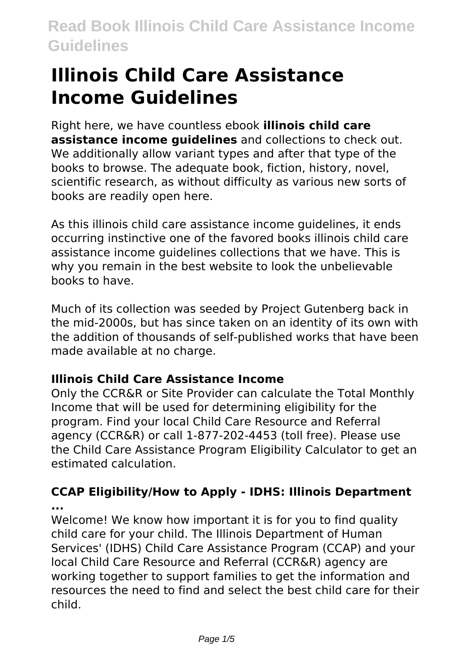# **Illinois Child Care Assistance Income Guidelines**

Right here, we have countless ebook **illinois child care assistance income guidelines** and collections to check out. We additionally allow variant types and after that type of the books to browse. The adequate book, fiction, history, novel, scientific research, as without difficulty as various new sorts of books are readily open here.

As this illinois child care assistance income guidelines, it ends occurring instinctive one of the favored books illinois child care assistance income guidelines collections that we have. This is why you remain in the best website to look the unbelievable books to have.

Much of its collection was seeded by Project Gutenberg back in the mid-2000s, but has since taken on an identity of its own with the addition of thousands of self-published works that have been made available at no charge.

### **Illinois Child Care Assistance Income**

Only the CCR&R or Site Provider can calculate the Total Monthly Income that will be used for determining eligibility for the program. Find your local Child Care Resource and Referral agency (CCR&R) or call 1-877-202-4453 (toll free). Please use the Child Care Assistance Program Eligibility Calculator to get an estimated calculation.

### **CCAP Eligibility/How to Apply - IDHS: Illinois Department ...**

Welcome! We know how important it is for you to find quality child care for your child. The Illinois Department of Human Services' (IDHS) Child Care Assistance Program (CCAP) and your local Child Care Resource and Referral (CCR&R) agency are working together to support families to get the information and resources the need to find and select the best child care for their child.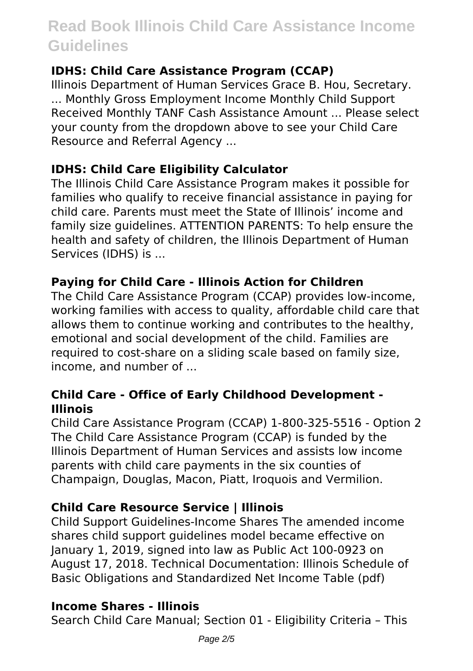#### **IDHS: Child Care Assistance Program (CCAP)**

Illinois Department of Human Services Grace B. Hou, Secretary. ... Monthly Gross Employment Income Monthly Child Support Received Monthly TANF Cash Assistance Amount ... Please select your county from the dropdown above to see your Child Care Resource and Referral Agency ...

#### **IDHS: Child Care Eligibility Calculator**

The Illinois Child Care Assistance Program makes it possible for families who qualify to receive financial assistance in paying for child care. Parents must meet the State of Illinois' income and family size guidelines. ATTENTION PARENTS: To help ensure the health and safety of children, the Illinois Department of Human Services (IDHS) is ...

#### **Paying for Child Care - Illinois Action for Children**

The Child Care Assistance Program (CCAP) provides low-income, working families with access to quality, affordable child care that allows them to continue working and contributes to the healthy, emotional and social development of the child. Families are required to cost-share on a sliding scale based on family size, income, and number of ...

#### **Child Care - Office of Early Childhood Development - Illinois**

Child Care Assistance Program (CCAP) 1-800-325-5516 - Option 2 The Child Care Assistance Program (CCAP) is funded by the Illinois Department of Human Services and assists low income parents with child care payments in the six counties of Champaign, Douglas, Macon, Piatt, Iroquois and Vermilion.

### **Child Care Resource Service | Illinois**

Child Support Guidelines-Income Shares The amended income shares child support guidelines model became effective on January 1, 2019, signed into law as Public Act 100-0923 on August 17, 2018. Technical Documentation: Illinois Schedule of Basic Obligations and Standardized Net Income Table (pdf)

#### **Income Shares - Illinois**

Search Child Care Manual; Section 01 - Eligibility Criteria – This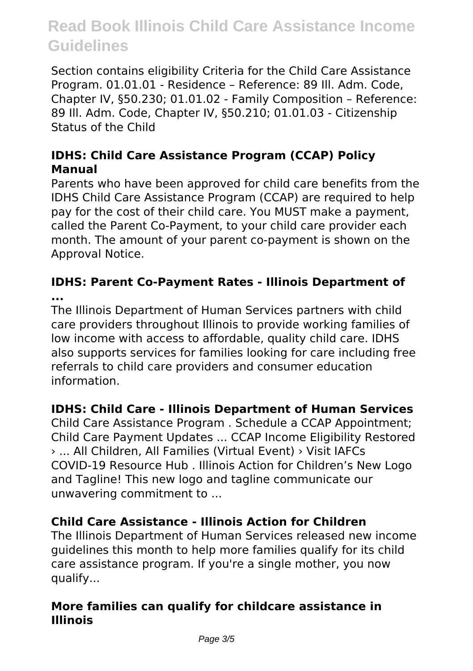Section contains eligibility Criteria for the Child Care Assistance Program. 01.01.01 - Residence – Reference: 89 Ill. Adm. Code, Chapter IV, §50.230; 01.01.02 - Family Composition – Reference: 89 Ill. Adm. Code, Chapter IV, §50.210; 01.01.03 - Citizenship Status of the Child

#### **IDHS: Child Care Assistance Program (CCAP) Policy Manual**

Parents who have been approved for child care benefits from the IDHS Child Care Assistance Program (CCAP) are required to help pay for the cost of their child care. You MUST make a payment, called the Parent Co-Payment, to your child care provider each month. The amount of your parent co-payment is shown on the Approval Notice.

**IDHS: Parent Co-Payment Rates - Illinois Department of ...**

The Illinois Department of Human Services partners with child care providers throughout Illinois to provide working families of low income with access to affordable, quality child care. IDHS also supports services for families looking for care including free referrals to child care providers and consumer education information.

### **IDHS: Child Care - Illinois Department of Human Services**

Child Care Assistance Program . Schedule a CCAP Appointment; Child Care Payment Updates ... CCAP Income Eligibility Restored › ... All Children, All Families (Virtual Event) › Visit IAFCs COVID-19 Resource Hub . Illinois Action for Children's New Logo and Tagline! This new logo and tagline communicate our unwavering commitment to ...

### **Child Care Assistance - Illinois Action for Children**

The Illinois Department of Human Services released new income guidelines this month to help more families qualify for its child care assistance program. If you're a single mother, you now qualify...

#### **More families can qualify for childcare assistance in Illinois**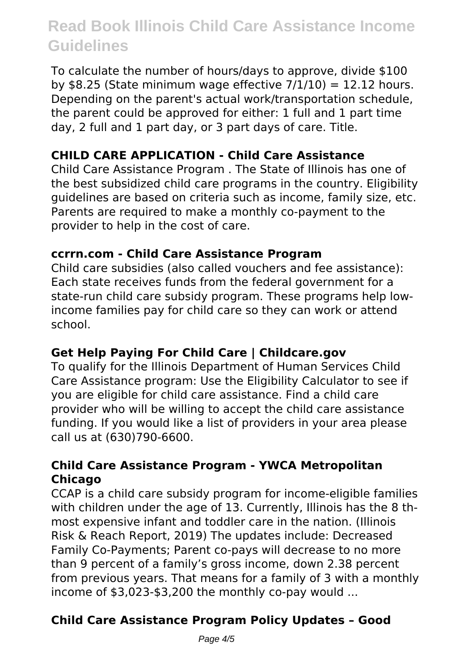To calculate the number of hours/days to approve, divide \$100 by \$8.25 (State minimum wage effective  $7/1/10$ ) = 12.12 hours. Depending on the parent's actual work/transportation schedule, the parent could be approved for either: 1 full and 1 part time day, 2 full and 1 part day, or 3 part days of care. Title.

### **CHILD CARE APPLICATION - Child Care Assistance**

Child Care Assistance Program . The State of Illinois has one of the best subsidized child care programs in the country. Eligibility guidelines are based on criteria such as income, family size, etc. Parents are required to make a monthly co-payment to the provider to help in the cost of care.

#### **ccrrn.com - Child Care Assistance Program**

Child care subsidies (also called vouchers and fee assistance): Each state receives funds from the federal government for a state-run child care subsidy program. These programs help lowincome families pay for child care so they can work or attend school.

### **Get Help Paying For Child Care | Childcare.gov**

To qualify for the Illinois Department of Human Services Child Care Assistance program: Use the Eligibility Calculator to see if you are eligible for child care assistance. Find a child care provider who will be willing to accept the child care assistance funding. If you would like a list of providers in your area please call us at (630)790-6600.

#### **Child Care Assistance Program - YWCA Metropolitan Chicago**

CCAP is a child care subsidy program for income-eligible families with children under the age of 13. Currently, Illinois has the 8 thmost expensive infant and toddler care in the nation. (Illinois Risk & Reach Report, 2019) The updates include: Decreased Family Co-Payments; Parent co-pays will decrease to no more than 9 percent of a family's gross income, down 2.38 percent from previous years. That means for a family of 3 with a monthly income of \$3,023-\$3,200 the monthly co-pay would ...

### **Child Care Assistance Program Policy Updates – Good**